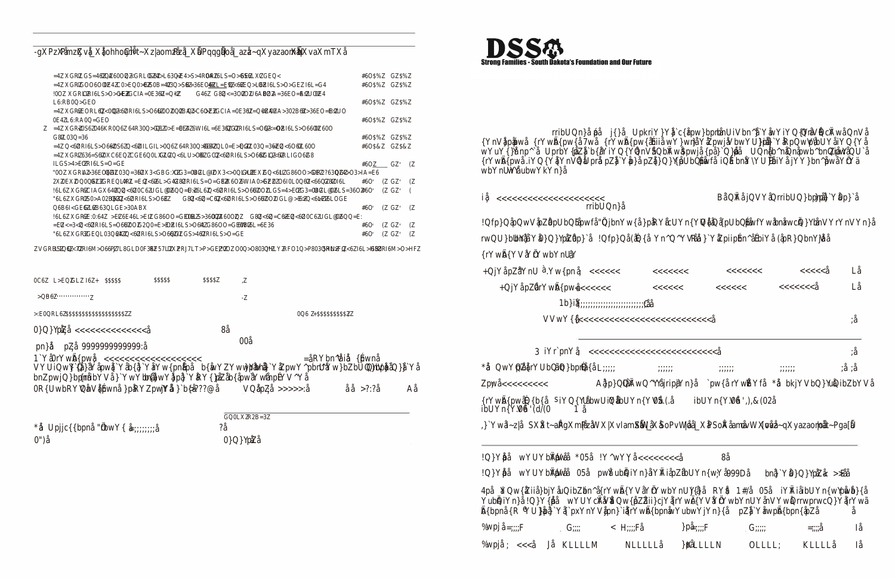

50

 $\mathcal{R}^+$ 

 $\sim$ 

 $\sim 20$ 

 $\sim$  $\sim 10$